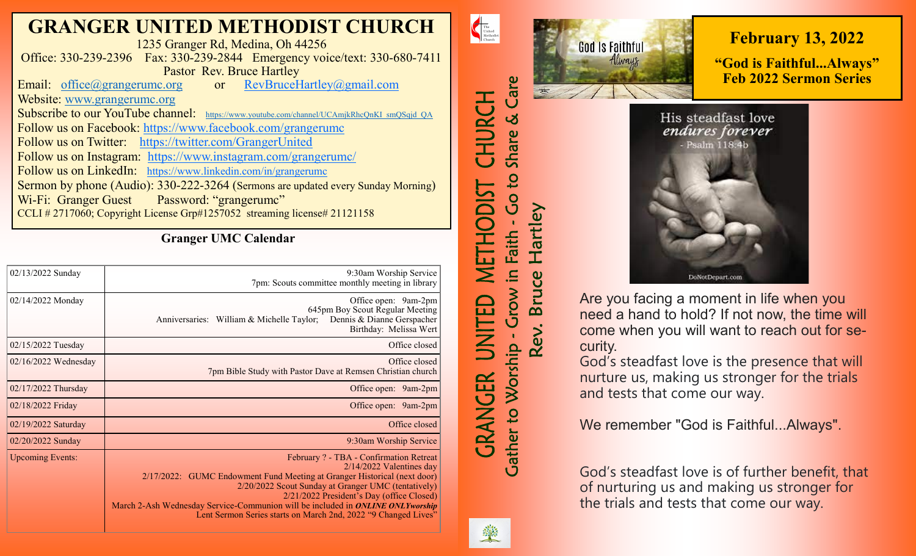# **GRANGER UNITED METHODIST CHURCH**

1235 Granger Rd, Medina, Oh 44256 Office: 330-239-2396 Fax: 330-239-2844 Emergency voice/text: 330-680-7411 Pastor Rev. Bruce Hartley<br>
experience Hartley (@gmail.com/ Email: [office@grangerumc.org](mailto:office@grangerumc.org) or

Website: [www.grangerumc.org](http://www.grangerumc.org) Subscribe to our YouTube channel: [https://www.youtube.com/channel/UCAmjkRhcQnKI\\_smQSqjd\\_QA](https://www.youtube.com/channel/UCAmjkRhcQnKI_smQSqjd_QA) Follow us on Facebook: <https://www.facebook.com/grangerumc> Follow us on Twitter: <https://twitter.com/GrangerUnited> Follow us on Instagram: <https://www.instagram.com/grangerumc/> Follow us on LinkedIn: [https://www.linkedin.com/in/grangerumc](https://www.linkedin.com/in/secretary-granger-umc-1a9850215/detail/recent-activity/) Sermon by phone (Audio): 330-222-3264 (Sermons are updated every Sunday Morning) Wi-Fi: Granger Guest Password: "grangerumc" CCLI # 2717060; Copyright License Grp#1257052 streaming license# 21121158

**Granger UMC Calendar**

| 02/13/2022 Sunday       | 9:30am Worship Service<br>7pm: Scouts committee monthly meeting in library                                                                                                                                                                                                                                                                                                                                |
|-------------------------|-----------------------------------------------------------------------------------------------------------------------------------------------------------------------------------------------------------------------------------------------------------------------------------------------------------------------------------------------------------------------------------------------------------|
| 02/14/2022 Monday       | Office open: 9am-2pm<br>645pm Boy Scout Regular Meeting<br>Dennis & Dianne Gerspacher<br>Anniversaries: William & Michelle Taylor;<br>Birthday: Melissa Wert                                                                                                                                                                                                                                              |
| 02/15/2022 Tuesday      | Office closed                                                                                                                                                                                                                                                                                                                                                                                             |
| $02/16/2022$ Wednesday  | Office closed<br>7pm Bible Study with Pastor Dave at Remsen Christian church                                                                                                                                                                                                                                                                                                                              |
| 02/17/2022 Thursday     | Office open: 9am-2pm                                                                                                                                                                                                                                                                                                                                                                                      |
| 02/18/2022 Friday       | Office open: 9am-2pm                                                                                                                                                                                                                                                                                                                                                                                      |
| 02/19/2022 Saturday     | Office closed                                                                                                                                                                                                                                                                                                                                                                                             |
| 02/20/2022 Sunday       | 9:30am Worship Service                                                                                                                                                                                                                                                                                                                                                                                    |
| <b>Upcoming Events:</b> | February ? - TBA - Confirmation Retreat<br>$2/14/2022$ Valentines day<br>2/17/2022: GUMC Endowment Fund Meeting at Granger Historical (next door)<br>2/20/2022 Scout Sunday at Granger UMC (tentatively)<br>2/21/2022 President's Day (office Closed)<br>March 2-Ash Wednesday Service-Communion will be included in ONLINE ONLYworship<br>Lent Sermon Series starts on March 2nd, 2022 "9 Changed Lives" |

**God Is Faithful** Always Care

**February 13, 2022**

**"God is Faithful...Always" Feb 2022 Sermon Series**

His steadfast love endures forever Psalm 118:4b



Are you facing a moment in life when you need a hand to hold? If not now, the time will come when you will want to reach out for security.

God's steadfast love is the presence that will nurture us, making us stronger for the trials and tests that come our way.

We remember "God is Faithful...Always".

God's steadfast love is of further benefit, that of nurturing us and making us stronger for the trials and tests that come our way.



 $\begin{tabular}{|c|c|} \hline \multicolumn{3}{|c|}{The United}\\ United\\ Methodist\\ Church\\ \hline \end{tabular}$ 

CHURCH

METHODIST

戸

İML

*GRANGER* 

Share &

Co to:

in Faith

Grow i

**Gather to Worship** 

Hartley

Bruce

Rev.